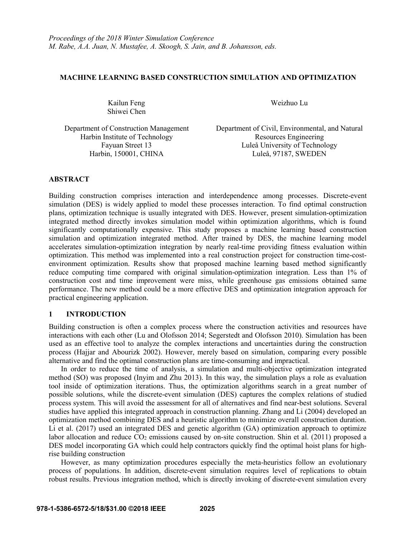# **MACHINE LEARNING BASED CONSTRUCTION SIMULATION AND OPTIMIZATION**

Kailun Feng Weizhuo Lu Shiwei Chen

Harbin Institute of Technology Resources Engineering

Department of Construction Management Department of Civil, Environmental, and Natural Fayuan Street 13 Luleå University of Technology Harbin, 150001, CHINA Luleå, 97187, SWEDEN

# **ABSTRACT**

Building construction comprises interaction and interdependence among processes. Discrete-event simulation (DES) is widely applied to model these processes interaction. To find optimal construction plans, optimization technique is usually integrated with DES. However, present simulation-optimization integrated method directly invokes simulation model within optimization algorithms, which is found significantly computationally expensive. This study proposes a machine learning based construction simulation and optimization integrated method. After trained by DES, the machine learning model accelerates simulation-optimization integration by nearly real-time providing fitness evaluation within optimization. This method was implemented into a real construction project for construction time-cost environment optimization. Results show that proposed machine learning based method significantly reduce computing time compared with original simulation-optimization integration. Less than 1% of construction cost and time improvement were miss, while greenhouse gas emissions obtained same performance. The new method could be a more effective DES and optimization integration approach for practical engineering application.

# **1 INTRODUCTION**

Building construction is often a complex process where the construction activities and resources have interactions with each other (Lu and Olofsson 2014; Segerstedt and Olofsson 2010). Simulation has been used as an effective tool to analyze the complex interactions and uncertainties during the construction process (Hajjar and Abourizk 2002). However, merely based on simulation, comparing every possible alternative and find the optimal construction plans are time-consuming and impractical.

In order to reduce the time of analysis, a simulation and multi-objective optimization integrated method (SO) was proposed (Inyim and Zhu 2013). In this way, the simulation plays a role as evaluation tool inside of optimization iterations. Thus, the optimization algorithms search in a great number of possible solutions, while the discrete-event simulation (DES) captures the complex relations of studied process system. This will avoid the assessment for all of alternatives and find near-best solutions. Several studies have applied this integrated approach in construction planning. Zhang and Li (2004) developed an optimization method combining DES and a heuristic algorithm to minimize overall construction duration. Li et al. (2017) used an integrated DES and genetic algorithm (GA) optimization approach to optimize labor allocation and reduce  $CO_2$  emissions caused by on-site construction. Shin et al. (2011) proposed a DES model incorporating GA which could help contractors quickly find the optimal hoist plans for highrise building construction

However, as many optimization procedures especially the meta-heuristics follow an evolutionary process of populations. In addition, discrete-event simulation requires level of replications to obtain robust results. Previous integration method, which is directly invoking of discrete-event simulation every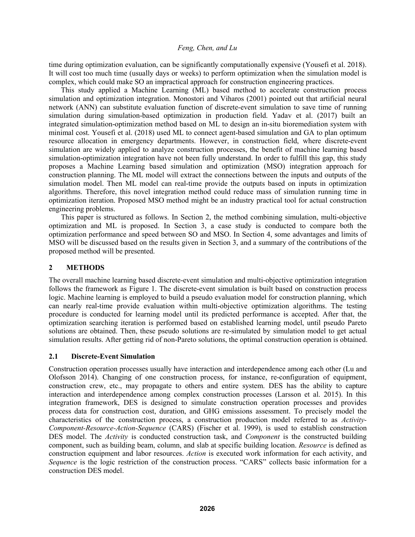time during optimization evaluation, can be significantly computationally expensive (Yousefi et al. 2018). It will cost too much time (usually days or weeks) to perform optimization when the simulation model is complex, which could make SO an impractical approach for construction engineering practices.

This study applied a Machine Learning (ML) based method to accelerate construction process simulation and optimization integration. Monostori and Viharos (2001) pointed out that artificial neural network (ANN) can substitute evaluation function of discrete-event simulation to save time of running simulation during simulation-based optimization in production field. Yadav et al. (2017) built an integrated simulation-optimization method based on ML to design an in-situ bioremediation system with minimal cost. Yousefi et al. (2018) used ML to connect agent-based simulation and GA to plan optimum resource allocation in emergency departments. However, in construction field, where discrete-event simulation are widely applied to analyze construction processes, the benefit of machine learning based simulation-optimization integration have not been fully understand. In order to fulfill this gap, this study proposes a Machine Learning based simulation and optimization (MSO) integration approach for construction planning. The ML model will extract the connections between the inputs and outputs of the simulation model. Then ML model can real-time provide the outputs based on inputs in optimization algorithms. Therefore, this novel integration method could reduce mass of simulation running time in optimization iteration. Proposed MSO method might be an industry practical tool for actual construction engineering problems.

This paper is structured as follows. In Section 2, the method combining simulation, multi-objective optimization and ML is proposed. In Section 3, a case study is conducted to compare both the optimization performance and speed between SO and MSO. In Section 4, some advantages and limits of MSO will be discussed based on the results given in Section 3, and a summary of the contributions of the proposed method will be presented.

# **2 METHODS**

The overall machine learning based discrete-event simulation and multi-objective optimization integration follows the framework as Figure 1. The discrete-event simulation is built based on construction process logic. Machine learning is employed to build a pseudo evaluation model for construction planning, which can nearly real-time provide evaluation within multi-objective optimization algorithms. The testing procedure is conducted for learning model until its predicted performance is accepted. After that, the optimization searching iteration is performed based on established learning model, until pseudo Pareto solutions are obtained. Then, these pseudo solutions are re-simulated by simulation model to get actual simulation results. After getting rid of non-Pareto solutions, the optimal construction operation is obtained.

# **2.1 Discrete-Event Simulation**

Construction operation processes usually have interaction and interdependence among each other (Lu and Olofsson 2014). Changing of one construction process, for instance, re-configuration of equipment, construction crew, etc., may propagate to others and entire system. DES has the ability to capture interaction and interdependence among complex construction processes (Larsson et al. 2015). In this integration framework, DES is designed to simulate construction operation processes and provides process data for construction cost, duration, and GHG emissions assessment. To precisely model the characteristics of the construction process, a construction production model referred to as *Activity- Component-Resource-Action-Sequence* (CARS) (Fischer et al. 1999), is used to establish construction DES model. The *Activity* is conducted construction task, and *Component* is the constructed building component, such as building beam, column, and slab at specific building location. *Resource* is defined as construction equipment and labor resources. *Action* is executed work information for each activity, and Sequence is the logic restriction of the construction process. "CARS" collects basic information for a construction DES model.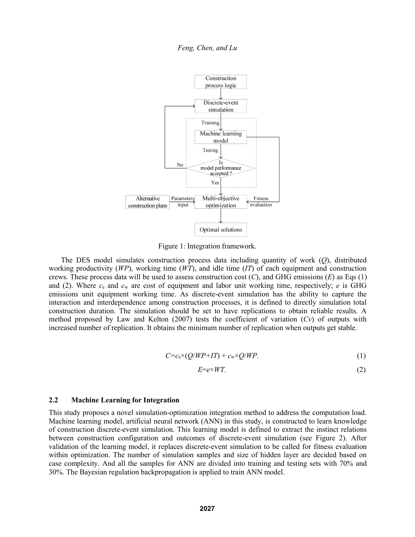

Figure 1: Integration framework.

The DES model simulates construction process data including quantity of work (*Q*), distributed working productivity  $(WP)$ , working time  $(WT)$ , and idle time  $(TT)$  of each equipment and construction crews. These process data will be used to assess construction cost (*C*), and GHG emissions (*E*) as Eqs (1) and (2). Where *c*<sup>e</sup> and *c*<sup>w</sup> are cost of equipment and labor unit working time, respectively; *e* is GHG emissions unit equipment working time. As discrete-event simulation has the ability to capture the interaction and interdependence among construction processes, it is defined to directly simulation total construction duration. The simulation should be set to have replications to obtain reliable results. A method proposed by Law and Kelton (2007) tests the coefficient of variation (*Cv*) of outputs with increased number of replication. It obtains the minimum number of replication when outputs get stable.

$$
C = c_e \times (Q/WP + IT) + c_w \times Q/WP.
$$
 (1)

$$
E = e \times WT. \tag{2}
$$

# **2.2 Machine Learning for Integration**

This study proposes a novel simulation-optimization integration method to address the computation load. Machine learning model, artificial neural network (ANN) in this study, is constructed to learn knowledge of construction discrete-event simulation. This learning model is defined to extract the instinct relations between construction configuration and outcomes of discrete-event simulation (see Figure 2). After validation of the learning model, it replaces discrete-event simulation to be called for fitness evaluation within optimization. The number of simulation samples and size of hidden layer are decided based on case complexity. And all the samples for ANN are divided into training and testing sets with 70% and 30%. The Bayesian regulation backpropagation is applied to train ANN model.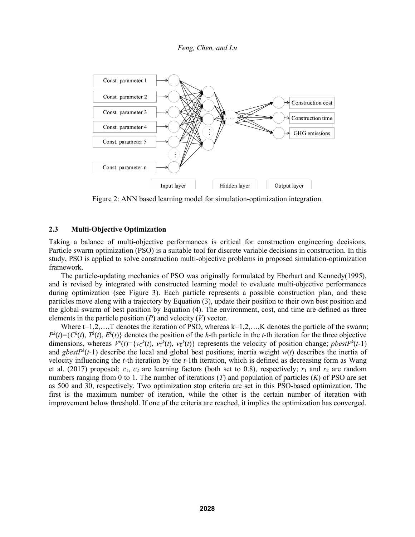

Figure 2: ANN based learning model for simulation-optimization integration.

#### **2.3 Multi-Objective Optimization**

Taking a balance of multi-objective performances is critical for construction engineering decisions. Particle swarm optimization (PSO) is a suitable tool for discrete variable decisions in construction. In this study, PSO is applied to solve construction multi-objective problems in proposed simulation-optimization framework.

The particle-updating mechanics of PSO was originally formulated by Eberhart and Kennedy(1995), and is revised by integrated with constructed learning model to evaluate multi-objective performances during optimization (see Figure 3). Each particle represents a possible construction plan, and these particles move along with a trajectory by Equation (3), update their position to their own best position and the global swarm of best position by Equation (4). The environment, cost, and time are defined as three elements in the particle position (*P*) and velocity (*V*) vector.

Where  $t=1,2,...,T$  denotes the iteration of PSO, whereas  $k=1,2,...,K$  denotes the particle of the swarm;  $P^k(t) = \{C^k(t), T^k(t), E^k(t)\}\$ denotes the position of the *k*-th particle in the *t*-th iteration for the three objective dimensions, whereas  $V^k(t) = \{ v c^k(t), v F^k(t), v E^k(t) \}$  represents the velocity of position change; *pbestP*<sup>k</sup>(*t*-1) and *gbestP <sup>k</sup>*(*t-*1) describe the local and global best positions; inertia weight *w*(*t*) describes the inertia of velocity influencing the *t-*th iteration by the *t-*1th iteration, which is defined as decreasing form as Wang et al. (2017) proposed; *c*1, *c*<sup>2</sup> are learning factors (both set to 0.8), respectively; *r*<sup>1</sup> and *r*<sup>2</sup> are random numbers ranging from 0 to 1. The number of iterations (*T*) and population of particles (*K*) of PSO are set as 500 and 30, respectively. Two optimization stop criteria are set in this PSO-based optimization. The first is the maximum number of iteration, while the other is the certain number of iteration with improvement below threshold. If one of the criteria are reached, it implies the optimization has converged.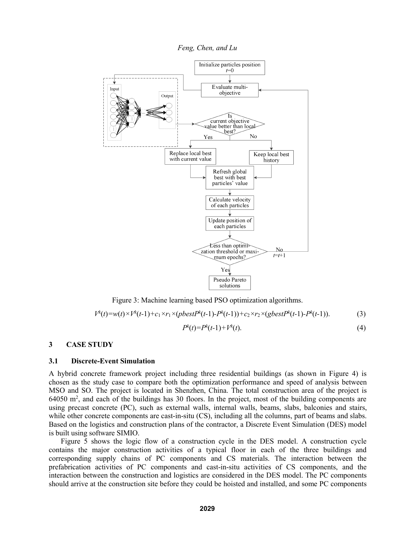*Feng, Chen, and Lu*



Figure 3: Machine learning based PSO optimization algorithms.

$$
V^{k}(t) = w(t) \times V^{k}(t-1) + c_1 \times r_1 \times (pbestP^{k}(t-1) - P^{k}(t-1)) + c_2 \times r_2 \times (gbestP^{k}(t-1) - P^{k}(t-1)).
$$
\n(3)

$$
P^k(t) = P^k(t-1) + V^k(t). \tag{4}
$$

# **3 CASE STUDY**

### **3.1 Discrete-Event Simulation**

A hybrid concrete framework project including three residential buildings (as shown in Figure 4) is chosen as the study case to compare both the optimization performance and speed of analysis between MSO and SO. The project is located in Shenzhen, China. The total construction area of the project is 64050 m<sup>2</sup>, and each of the buildings has 30 floors. In the project, most of the building components are using precast concrete (PC), such as external walls, internal walls, beams, slabs, balconies and stairs, while other concrete components are cast-in-situ (CS), including all the columns, part of beams and slabs. Based on the logistics and construction plans of the contractor, a Discrete Event Simulation (DES) model is built using software SIMIO.

Figure 5 shows the logic flow of a construction cycle in the DES model. A construction cycle contains the major construction activities of a typical floor in each of the three buildings and corresponding supply chains of PC components and CS materials. The interaction between the prefabrication activities of PC components and cast-in-situ activities of CS components, and the interaction between the construction and logistics are considered in the DES model. The PC components should arrive at the construction site before they could be hoisted and installed, and some PC components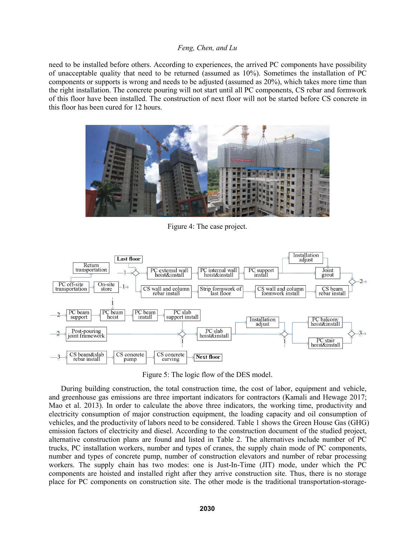need to be installed before others. According to experiences, the arrived PC components have possibility of unacceptable quality that need to be returned (assumed as 10%). Sometimes the installation of PC components orsupports is wrong and needs to be adjusted (assumed as 20%), which takes more time than the right installation. The concrete pouring will not start until all PC components, CS rebar and formwork of this floor have been installed. The construction of next floor will not be started before CS concrete in this floor has been cured for 12 hours.



Figure 4: The case project.



Figure 5: The logic flow of the DES model.

During building construction, the total construction time, the cost of labor, equipment and vehicle, and greenhouse gas emissions are three important indicators for contractors (Kamali and Hewage 2017; Mao et al. 2013). In order to calculate the above three indicators, the working time, productivity and electricity consumption of major construction equipment, the loading capacity and oil consumption of vehicles, and the productivity of labors need to be considered. Table 1 shows the Green House Gas (GHG) emission factors of electricity and diesel. According to the construction document of the studied project, alternative construction plans are found and listed in Table 2. The alternatives include number of PC trucks, PC installation workers, number and types of cranes, the supply chain mode of PC components, number and types of concrete pump, number of construction elevators and number of rebar processing workers. The supply chain has two modes: one is Just-In-Time (JIT) mode, under which the PC components are hoisted and installed right after they arrive construction site. Thus, there is no storage place for PC components on construction site. The other mode is the traditional transportation-storage-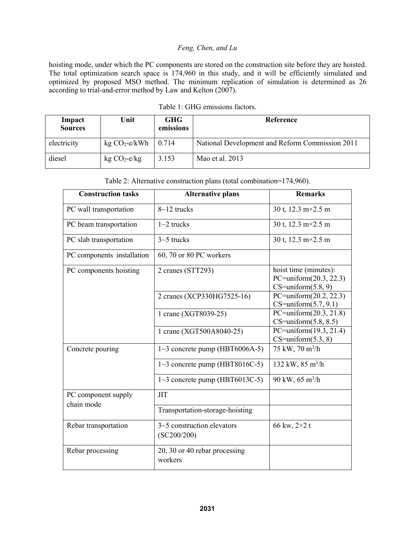hoisting mode, under which the PC components are stored on the construction site before they are hoisted. The total optimization search space is 174,960 in this study, and it will be efficiently simulated and optimized by proposed MSO method. The minimum replication of simulation is determined as 26 according to trial-and-error method by Law and Kelton (2007).

| Impact<br><b>Sources</b> | Unit                   | <b>GHG</b><br>emissions | Reference                                       |
|--------------------------|------------------------|-------------------------|-------------------------------------------------|
| electricity              | $kg CO2-e/kWh$   0.714 |                         | National Development and Reform Commission 2011 |
| diesel                   | $kg CO2-e/kg$          | 3.153                   | Mao et al. $2013$                               |

| Table 1: GHG emissions factors. |  |
|---------------------------------|--|
|---------------------------------|--|

| Table 2: Alternative construction plans (total combination=174,960). |  |
|----------------------------------------------------------------------|--|
|----------------------------------------------------------------------|--|

| <b>Construction tasks</b>  | <b>Alternative plans</b>                    | <b>Remarks</b>                                                               |
|----------------------------|---------------------------------------------|------------------------------------------------------------------------------|
| PC wall transportation     | $8 - 12$ trucks                             | 30 t, 12.3 m×2.5 m                                                           |
| PC beam transportation     | $1~2$ trucks                                | 30 t, 12.3 m×2.5 m                                                           |
| PC slab transportation     | $3-5$ trucks                                | 30 t, 12.3 m×2.5 m                                                           |
| PC components installation | 60, 70 or 80 PC workers                     |                                                                              |
| PC components hoisting     | 2 cranes (STT293)                           | hoist time (minutes):<br>PC=uniform $(20.3, 22.3)$<br>$CS = uniform(5.8, 9)$ |
|                            | 2 cranes (XCP330HG7525-16)                  | PC=uniform $(20.2, 22.3)$<br>$CS = uniform(5.7, 9.1)$                        |
|                            | 1 crane (XGT8039-25)                        | PC=uniform $(20.3, 21.8)$<br>$CS = uniform(5.8, 8.5)$                        |
|                            | 1 crane (XGT500A8040-25)                    | PC=uniform $(19.3, 21.4)$<br>$CS = uniform(5.3, 8)$                          |
| Concrete pouring           | $1~3$ concrete pump (HBT6006A-5)            | 75 kW, 70 m <sup>3</sup> /h                                                  |
|                            | $1~3$ concrete pump (HBT8016C-5)            | 132 kW, 85 m <sup>3</sup> /h                                                 |
|                            | $1~3$ concrete pump (HBT6013C-5)            | 90 kW, 65 m <sup>3</sup> /h                                                  |
| PC component supply        | <b>JIT</b>                                  |                                                                              |
| chain mode                 | Transportation-storage-hoisting             |                                                                              |
| Rebar transportation       | $3-5$ construction elevators<br>(SC200/200) | 66 kw, 2×2 t                                                                 |
| Rebar processing           | 20, 30 or 40 rebar processing<br>workers    |                                                                              |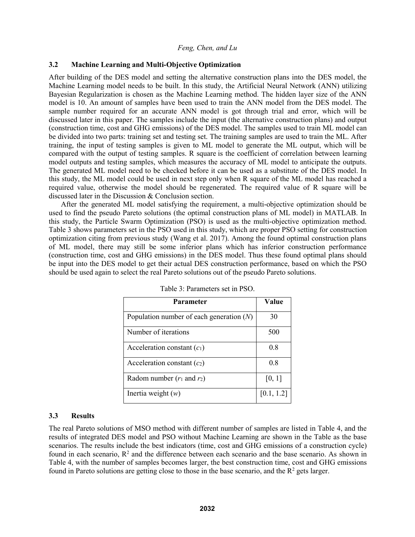# **3.2 Machine Learning and Multi-Objective Optimization**

After building of the DES model and setting the alternative construction plans into the DES model, the Machine Learning model needs to be built. In this study, the Artificial Neural Network (ANN) utilizing Bayesian Regularization is chosen as the Machine Learning method. The hidden layer size of the ANN model is 10. An amount of samples have been used to train the ANN model from the DES model. The sample number required for an accurate ANN model is got through trial and error, which will be discussed later in this paper. The samples include the input (the alternative construction plans) and output (construction time, cost and GHG emissions) of the DES model. The samples used to train ML model can be divided into two parts: training set and testing set. The training samples are used to train the ML. After training, the input of testing samples is given to ML model to generate the ML output, which will be compared with the output of testing samples. R square is the coefficient of correlation between learning model outputs and testing samples, which measures the accuracy of ML model to anticipate the outputs. The generated ML model need to be checked before it can be used as a substitute of the DES model. In this study, the ML model could be used in next step only when R square of the ML model has reached a required value, otherwise the model should be regenerated. The required value of R square will be discussed later in the Discussion & Conclusion section.

After the generated ML model satisfying the requirement, a multi-objective optimization should be used to find the pseudo Pareto solutions (the optimal construction plans of ML model) in MATLAB. In this study, the Particle Swarm Optimization (PSO) is used as the multi-objective optimization method. Table 3 shows parameters set in the PSO used in this study, which are proper PSO setting for construction optimization citing from previous study (Wang et al. 2017). Among the found optimal construction plans of ML model, there may still be some inferior plans which has inferior construction performance (construction time, cost and GHG emissions) in the DES model. Thus these found optimal plans should be input into the DES model to get their actual DES construction performance, based on which the PSO should be used again to select the real Pareto solutions out of the pseudo Pareto solutions.

| <b>Parameter</b>                           | Value      |
|--------------------------------------------|------------|
| Population number of each generation $(N)$ | 30         |
| Number of iterations                       | 500        |
| Acceleration constant $(c_1)$              | 0.8        |
| Acceleration constant $(c_2)$              | 0.8        |
| Radom number $(r_1$ and $r_2)$             | [0, 1]     |
| Inertia weight $(w)$                       | [0.1, 1.2] |

Table 3: Parameters set in PSO.

# **3.3 Results**

The real Pareto solutions of MSO method with different number of samples are listed in Table 4, and the results of integrated DES model and PSO without Machine Learning are shown in the Table as the base scenarios. The results include the best indicators (time, cost and GHG emissions of a construction cycle) found in each scenario,  $\mathbb{R}^2$  and the difference between each scenario and the base scenario. As shown in Table 4, with the number of samples becomes larger, the best construction time, cost and GHG emissions found in Pareto solutions are getting close to those in the base scenario, and the R <sup>2</sup> gets larger.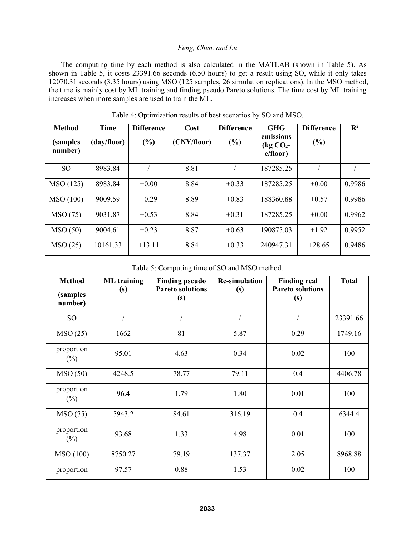The computing time by each method is also calculated in the MATLAB (shown in Table 5). As shown in Table 5, it costs 23391.66 seconds (6.50 hours) to get a result using SO, while it only takes 12070.31 seconds (3.35 hours) using MSO (125 samples, 26 simulation replications). In the MSO method, the time is mainly cost by ML training and finding pseudo Pareto solutions. The time cost by ML training increases when more samples are used to train the ML.

| <b>Method</b><br><i>(samples)</i><br>number) | Time<br>(day/floor) | <b>Difference</b><br>$(\%)$ | Cost<br>(CNY/floor) | <b>Difference</b><br>$(\%)$ | <b>GHG</b><br>emissions<br>$\log$ CO <sub>2</sub> -<br>e/floor) | <b>Difference</b><br>$(\%)$ | $\mathbf{R}^2$ |
|----------------------------------------------|---------------------|-----------------------------|---------------------|-----------------------------|-----------------------------------------------------------------|-----------------------------|----------------|
| SO <sub>1</sub>                              | 8983.84             |                             | 8.81                |                             | 187285.25                                                       |                             |                |
| MSO(125)                                     | 8983.84             | $+0.00$                     | 8.84                | $+0.33$                     | 187285.25                                                       | $+0.00$                     | 0.9986         |
| MSO(100)                                     | 9009.59             | $+0.29$                     | 8.89                | $+0.83$                     | 188360.88                                                       | $+0.57$                     | 0.9986         |
| <b>MSO</b> (75)                              | 9031.87             | $+0.53$                     | 8.84                | $+0.31$                     | 187285.25                                                       | $+0.00$                     | 0.9962         |
| MSO(50)                                      | 9004.61             | $+0.23$                     | 8.87                | $+0.63$                     | 190875.03                                                       | $+1.92$                     | 0.9952         |
| MSO(25)                                      | 10161.33            | $+13.11$                    | 8.84                | $+0.33$                     | 240947.31                                                       | $+28.65$                    | 0.9486         |

Table 4: Optimization results of best scenarios by SO and MSO.

Table 5: Computing time of SO and MSO method.

| <b>Method</b><br><i>(samples)</i> | <b>ML</b> training<br>(s) | <b>Finding pseudo</b><br><b>Pareto solutions</b> | <b>Re-simulation</b><br>(s) | <b>Finding real</b><br><b>Pareto solutions</b> | <b>Total</b> |
|-----------------------------------|---------------------------|--------------------------------------------------|-----------------------------|------------------------------------------------|--------------|
| number)                           |                           | (s)                                              |                             | (s)                                            |              |
| <b>SO</b>                         |                           |                                                  |                             |                                                | 23391.66     |
| MSO(25)                           | 1662                      | 81                                               | 5.87                        | 0.29                                           | 1749.16      |
| proportion<br>$(\%)$              | 95.01                     | 4.63                                             | 0.34                        | 0.02                                           | 100          |
| MSO(50)                           | 4248.5                    | 78.77                                            | 79.11                       | 0.4                                            | 4406.78      |
| proportion<br>$(\%)$              | 96.4                      | 1.79                                             | 1.80                        | 0.01                                           | 100          |
| MSO(75)                           | 5943.2                    | 84.61                                            | 316.19                      | 0.4                                            | 6344.4       |
| proportion<br>$(\%)$              | 93.68                     | 1.33                                             | 4.98                        | 0.01                                           | 100          |
| <b>MSO</b> (100)                  | 8750.27                   | 79.19                                            | 137.37                      | 2.05                                           | 8968.88      |
| proportion                        | 97.57                     | 0.88                                             | 1.53                        | 0.02                                           | 100          |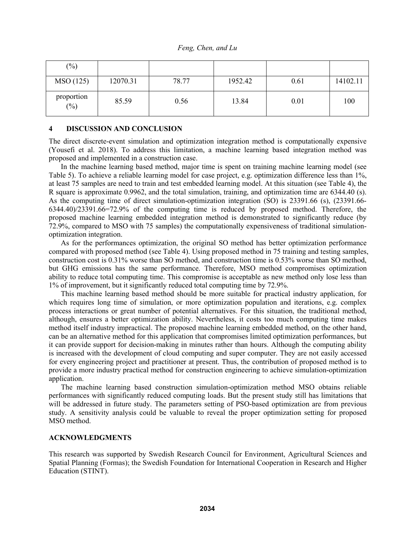| $(\% )$           |          |       |         |      |          |
|-------------------|----------|-------|---------|------|----------|
| MSO(125)          | 12070.31 | 78.77 | 1952.42 | 0.61 | 14102.11 |
| proportion<br>(%) | 85.59    | 0.56  | 13.84   | 0.01 | 100      |

#### **4 DISCUSSION AND CONCLUSION**

The direct discrete-event simulation and optimization integration method is computationally expensive (Yousefi et al. 2018). To address this limitation, a machine learning based integration method was proposed and implemented in a construction case.

In the machine learning based method, major time is spent on training machine learning model (see Table 5). To achieve a reliable learning model for case project, e.g. optimization difference less than 1%, at least 75 samples are need to train and test embedded learning model. At this situation (see Table 4), the R square is approximate 0.9962, and the total simulation, training, and optimization time are 6344.40 (s). As the computing time of direct simulation-optimization integration (SO) is 23391.66 (s), (23391.66- 6344.40)/23391.66=72.9% of the computing time is reduced by proposed method. Therefore, the proposed machine learning embedded integration method is demonstrated to significantly reduce (by 72.9%, compared to MSO with 75 samples) the computationally expensiveness of traditional simulation optimization integration.<br>As for the performances optimization, the original SO method has better optimization performance

compared with proposed method (see Table 4). Using proposed method in 75 training and testing samples, construction cost is 0.31% worse than SO method, and construction time is 0.53% worse than SO method, but GHG emissions has the same performance. Therefore, MSO method compromises optimization ability to reduce total computing time. This compromise is acceptable as new method only lose less than 1% of improvement, but it significantly reduced total computing time by 72.9%.

This machine learning based method should be more suitable for practical industry application, for which requires long time of simulation, or more optimization population and iterations, e.g. complex process interactions or great number of potential alternatives. For this situation, the traditional method, although, ensures a better optimization ability. Nevertheless, it costs too much computing time makes method itself industry impractical. The proposed machine learning embedded method, on the other hand, can be an alternative method for this application that compromises limited optimization performances, but it can provide support for decision-making in minutes rather than hours. Although the computing ability is increased with the development of cloud computing and super computer. They are not easily accessed for every engineering project and practitioner at present. Thus, the contribution of proposed method is to provide a more industry practical method for construction engineering to achieve simulation-optimization application.

The machine learning based construction simulation-optimization method MSO obtains reliable performances with significantly reduced computing loads. But the present study still has limitations that will be addressed in future study. The parameters setting of PSO-based optimization are from previous study. A sensitivity analysis could be valuable to reveal the proper optimization setting for proposed MSO method.

### **ACKNOWLEDGMENTS**

This research was supported by Swedish Research Council for Environment, Agricultural Sciences and Spatial Planning (Formas); the Swedish Foundation for International Cooperation in Research and Higher Education (STINT).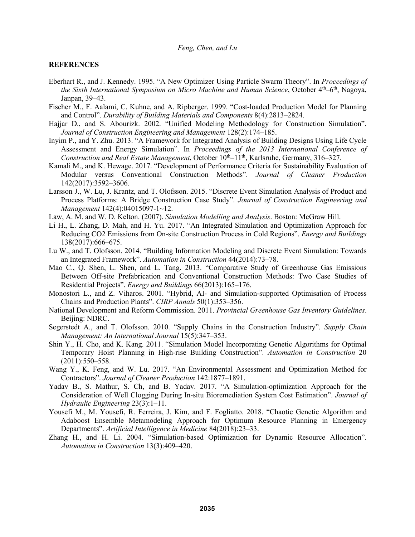#### **REFERENCES**

- Eberhart R., and J. Kennedy. 1995. "A New Optimizer Using Particle Swarm Theory". In *Proceedings of the Sixth International Symposium on Micro Machine and Human Science*, October 4 th–6 th , Nagoya, Janpan, 39–43.
- Fischer M., F. Aalami, C. Kuhne, and A. Ripberger. 1999. "Cost-loaded Production Model for Planning and Control". *Durability of Building Materials and Components* 8(4):2813–2824.
- Hajjar D., and S. Abourizk. 2002. "Unified Modeling Methodology for Construction Simulation". *Journal of Construction Engineering and Management* 128(2):174–185.
- Inyim P., and Y. Zhu. 2013. "A Framework for Integrated Analysis of Building Designs Using Life Cycle Assessment and Energy Simulation". In *Proceedings of the 2013 International Conference of Construction and Real Estate Management*, October 10 th–11 th , Karlsruhe, Germany, 316–327.
- Kamali M., and K. Hewage. 2017. "Development of Performance Criteria for Sustainability Evaluation of Modular versus Conventional Construction Methods". *Journal of Cleaner Production* 142(2017):3592–3606.
- Larsson J., W. Lu, J. Krantz, and T. Olofsson. 2015. "Discrete Event Simulation Analysis of Product and Process Platforms: A Bridge Construction Case Study". *Journal of Construction Engineering and Management* 142(4):04015097-1~12.
- Law, A. M. and W. D. Kelton. (2007). *Simulation Modelling and Analysis*. Boston: McGraw Hill.
- Li H., L. Zhang, D. Mah, and H. Yu. 2017. "An Integrated Simulation and Optimization Approach for Reducing CO2 Emissions from On-site Construction Process in Cold Regions". *Energy and Buildings* 138(2017):666–675.
- Lu W., and T. Olofsson. 2014. "Building Information Modeling and Discrete Event Simulation: Towards an Integrated Framework". *Automation in Construction* 44(2014):73–78.
- Mao C., Q. Shen, L. Shen, and L. Tang. 2013. "Comparative Study of Greenhouse Gas Emissions Between Off-site Prefabrication and Conventional Construction Methods:Two Case Studies of Residential Projects". *Energy and Buildings* 66(2013):165–176.
- Monostori L., and Z. Viharos. 2001. "Hybrid, AI- and Simulation-supported Optimisation of Process Chains and Production Plants". *CIRP Annals* 50(1):353–356.
- National Development and Reform Commission. 2011. *Provincial Greenhouse Gas Inventory Guidelines*. Beijing: NDRC.
- Segerstedt A., and T. Olofsson. 2010. "Supply Chains in the Construction Industry". *Supply Chain Management: An International Journal* 15(5):347–353.
- Shin Y., H. Cho, and K. Kang. 2011. "Simulation Model Incorporating Genetic Algorithms for Optimal Temporary Hoist Planning in High-rise Building Construction". *Automation in Construction* 20 (2011):550–558.
- Wang Y., K. Feng, and W. Lu. 2017. "An Environmental Assessment and Optimization Method for Contractors". *Journal of Cleaner Production* 142:1877–1891.
- Yadav B., S. Mathur, S. Ch, and B. Yadav. 2017. "A Simulation-optimization Approach for the Consideration of Well Clogging During In-situ Bioremediation System Cost Estimation". *Journal of Hydraulic Engineering* 23(3):1–11.
- Yousefi M., M. Yousefi, R. Ferreira, J. Kim, and F. Fogliatto. 2018. "Chaotic Genetic Algorithm and Adaboost Ensemble Metamodeling Approach for Optimum Resource Planning in Emergency Departments". *Artificial Intelligence in Medicine* 84(2018):23–33.
- Zhang H., and H. Li. 2004. "Simulation-based Optimization for Dynamic Resource Allocation". *Automation in Construction* 13(3):409–420.